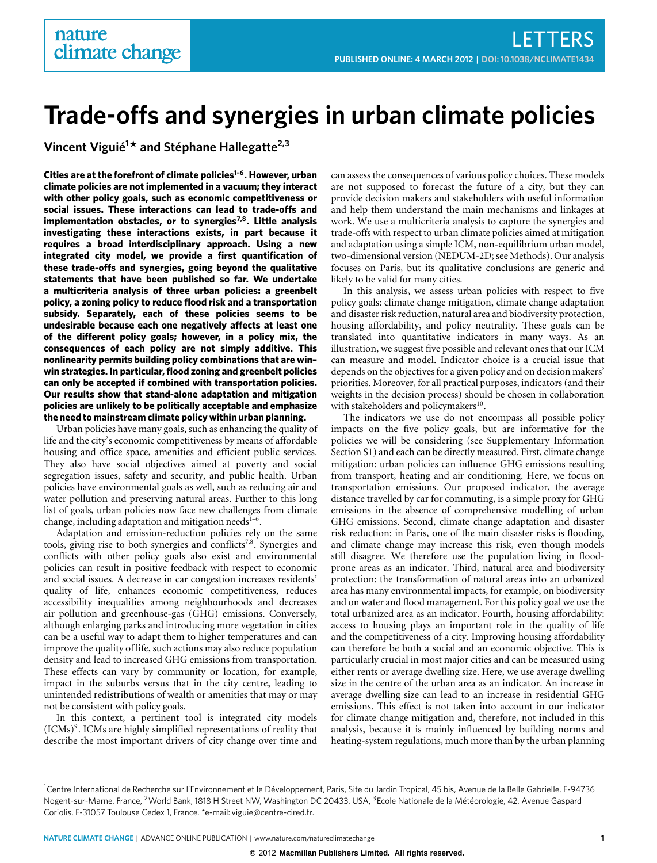# **Trade-offs and synergies in urban climate policies**

**Vincent Viguié<sup>1</sup> \* and Stéphane Hallegatte2,3**

**Cities are at the forefront of climate policies[1](#page-3-0)[–6](#page-3-1). However, urban climate policies are not implemented in a vacuum; they interact with other policy goals, such as economic competitiveness or social issues. These interactions can lead to trade-offs and implementation obstacles, or to synergies[7,](#page-3-2)[8](#page-3-3). Little analysis investigating these interactions exists, in part because it requires a broad interdisciplinary approach. Using a new integrated city model, we provide a first quantification of these trade-offs and synergies, going beyond the qualitative statements that have been published so far. We undertake a multicriteria analysis of three urban policies: a greenbelt policy, a zoning policy to reduce flood risk and a transportation subsidy. Separately, each of these policies seems to be undesirable because each one negatively affects at least one of the different policy goals; however, in a policy mix, the consequences of each policy are not simply additive. This nonlinearity permits building policy combinations that are win– win strategies. In particular, flood zoning and greenbelt policies can only be accepted if combined with transportation policies. Our results show that stand-alone adaptation and mitigation policies are unlikely to be politically acceptable and emphasize the need to mainstream climate policy within urban planning.**

Urban policies have many goals, such as enhancing the quality of life and the city's economic competitiveness by means of affordable housing and office space, amenities and efficient public services. They also have social objectives aimed at poverty and social segregation issues, safety and security, and public health. Urban policies have environmental goals as well, such as reducing air and water pollution and preserving natural areas. Further to this long list of goals, urban policies now face new challenges from climate change, including adaptation and mitigation needs $1-6$  $1-6$ .

Adaptation and emission-reduction policies rely on the same tools, giving rise to both synergies and conflicts<sup>[7,](#page-3-2)[8](#page-3-3)</sup>. Synergies and conflicts with other policy goals also exist and environmental policies can result in positive feedback with respect to economic and social issues. A decrease in car congestion increases residents' quality of life, enhances economic competitiveness, reduces accessibility inequalities among neighbourhoods and decreases air pollution and greenhouse-gas (GHG) emissions. Conversely, although enlarging parks and introducing more vegetation in cities can be a useful way to adapt them to higher temperatures and can improve the quality of life, such actions may also reduce population density and lead to increased GHG emissions from transportation. These effects can vary by community or location, for example, impact in the suburbs versus that in the city centre, leading to unintended redistributions of wealth or amenities that may or may not be consistent with policy goals.

In this context, a pertinent tool is integrated city models (ICMs)[9](#page-3-4) . ICMs are highly simplified representations of reality that describe the most important drivers of city change over time and can assess the consequences of various policy choices. These models are not supposed to forecast the future of a city, but they can provide decision makers and stakeholders with useful information and help them understand the main mechanisms and linkages at work. We use a multicriteria analysis to capture the synergies and trade-offs with respect to urban climate policies aimed at mitigation and adaptation using a simple ICM, non-equilibrium urban model, two-dimensional version (NEDUM-2D; see Methods). Our analysis focuses on Paris, but its qualitative conclusions are generic and likely to be valid for many cities.

In this analysis, we assess urban policies with respect to five policy goals: climate change mitigation, climate change adaptation and disaster risk reduction, natural area and biodiversity protection, housing affordability, and policy neutrality. These goals can be translated into quantitative indicators in many ways. As an illustration, we suggest five possible and relevant ones that our ICM can measure and model. Indicator choice is a crucial issue that depends on the objectives for a given policy and on decision makers' priorities. Moreover, for all practical purposes, indicators (and their weights in the decision process) should be chosen in collaboration with stakeholders and policymakers<sup>[10](#page-3-5)</sup>.

The indicators we use do not encompass all possible policy impacts on the five policy goals, but are informative for the policies we will be considering (see Supplementary Information Section S1) and each can be directly measured. First, climate change mitigation: urban policies can influence GHG emissions resulting from transport, heating and air conditioning. Here, we focus on transportation emissions. Our proposed indicator, the average distance travelled by car for commuting, is a simple proxy for GHG emissions in the absence of comprehensive modelling of urban GHG emissions. Second, climate change adaptation and disaster risk reduction: in Paris, one of the main disaster risks is flooding, and climate change may increase this risk, even though models still disagree. We therefore use the population living in floodprone areas as an indicator. Third, natural area and biodiversity protection: the transformation of natural areas into an urbanized area has many environmental impacts, for example, on biodiversity and on water and flood management. For this policy goal we use the total urbanized area as an indicator. Fourth, housing affordability: access to housing plays an important role in the quality of life and the competitiveness of a city. Improving housing affordability can therefore be both a social and an economic objective. This is particularly crucial in most major cities and can be measured using either rents or average dwelling size. Here, we use average dwelling size in the centre of the urban area as an indicator. An increase in average dwelling size can lead to an increase in residential GHG emissions. This effect is not taken into account in our indicator for climate change mitigation and, therefore, not included in this analysis, because it is mainly influenced by building norms and heating-system regulations, much more than by the urban planning

<sup>&</sup>lt;sup>1</sup>Centre International de Recherche sur l'Environnement et le Développement, Paris, Site du Jardin Tropical, 45 bis, Avenue de la Belle Gabrielle, F-94736 Nogent-sur-Marne, France, <sup>2</sup>World Bank, 1818 H Street NW, Washington DC 20433, USA, <sup>3</sup>Ecole Nationale de la Météorologie, 42, Avenue Gaspard Coriolis, F-31057 Toulouse Cedex 1, France. \*e-mail: [viguie@centre-cired.fr.](mailto:viguie@centre-cired.fr)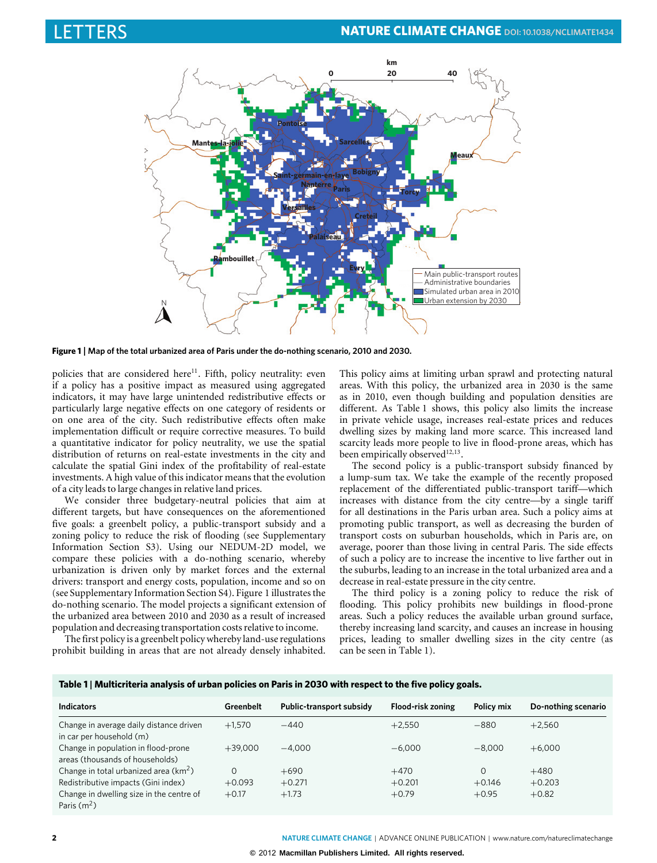

<span id="page-1-0"></span>**Figure 1** | **Map of the total urbanized area of Paris under the do-nothing scenario, 2010 and 2030.**

policies that are considered here $11$ . Fifth, policy neutrality: even if a policy has a positive impact as measured using aggregated indicators, it may have large unintended redistributive effects or particularly large negative effects on one category of residents or on one area of the city. Such redistributive effects often make implementation difficult or require corrective measures. To build a quantitative indicator for policy neutrality, we use the spatial distribution of returns on real-estate investments in the city and calculate the spatial Gini index of the profitability of real-estate investments. A high value of this indicator means that the evolution of a city leads to large changes in relative land prices.

We consider three budgetary-neutral policies that aim at different targets, but have consequences on the aforementioned five goals: a greenbelt policy, a public-transport subsidy and a zoning policy to reduce the risk of flooding (see Supplementary Information Section S3). Using our NEDUM-2D model, we compare these policies with a do-nothing scenario, whereby urbanization is driven only by market forces and the external drivers: transport and energy costs, population, income and so on (see Supplementary Information Section S4). [Figure 1](#page-1-0) illustrates the do-nothing scenario. The model projects a significant extension of the urbanized area between 2010 and 2030 as a result of increased population and decreasing transportation costs relative to income.

The first policy is a greenbelt policy whereby land-use regulations prohibit building in areas that are not already densely inhabited. This policy aims at limiting urban sprawl and protecting natural areas. With this policy, the urbanized area in 2030 is the same as in 2010, even though building and population densities are different. As [Table 1](#page-1-1) shows, this policy also limits the increase in private vehicle usage, increases real-estate prices and reduces dwelling sizes by making land more scarce. This increased land scarcity leads more people to live in flood-prone areas, which has been empirically observed<sup>[12,](#page-3-7)[13](#page-3-8)</sup>.

The second policy is a public-transport subsidy financed by a lump-sum tax. We take the example of the recently proposed replacement of the differentiated public-transport tariff—which increases with distance from the city centre—by a single tariff for all destinations in the Paris urban area. Such a policy aims at promoting public transport, as well as decreasing the burden of transport costs on suburban households, which in Paris are, on average, poorer than those living in central Paris. The side effects of such a policy are to increase the incentive to live farther out in the suburbs, leading to an increase in the total urbanized area and a decrease in real-estate pressure in the city centre.

The third policy is a zoning policy to reduce the risk of flooding. This policy prohibits new buildings in flood-prone areas. Such a policy reduces the available urban ground surface, thereby increasing land scarcity, and causes an increase in housing prices, leading to smaller dwelling sizes in the city centre (as can be seen in [Table 1\)](#page-1-1).

<span id="page-1-1"></span>**Table 1** | **Multicriteria analysis of urban policies on Paris in 2030 with respect to the five policy goals.**

| <b>Indicators</b>                                                      | Greenbelt | Public-transport subsidy | Flood-risk zoning | Policy mix | Do-nothing scenario |
|------------------------------------------------------------------------|-----------|--------------------------|-------------------|------------|---------------------|
| Change in average daily distance driven<br>in car per household (m)    | $+1.570$  | $-440$                   | $+2.550$          | $-880$     | $+2.560$            |
| Change in population in flood-prone<br>areas (thousands of households) | $+39.000$ | $-4.000$                 | $-6.000$          | $-8.000$   | $+6.000$            |
| Change in total urbanized area $(km^2)$                                | $\Omega$  | $+690$                   | $+470$            | $\Omega$   | $+480$              |
| Redistributive impacts (Gini index)                                    | $+0.093$  | $+0.271$                 | $+0.201$          | $+0.146$   | $+0.203$            |
| Change in dwelling size in the centre of<br>Paris $(m^2)$              | $+0.17$   | $+1.73$                  | $+0.79$           | $+0.95$    | $+0.82$             |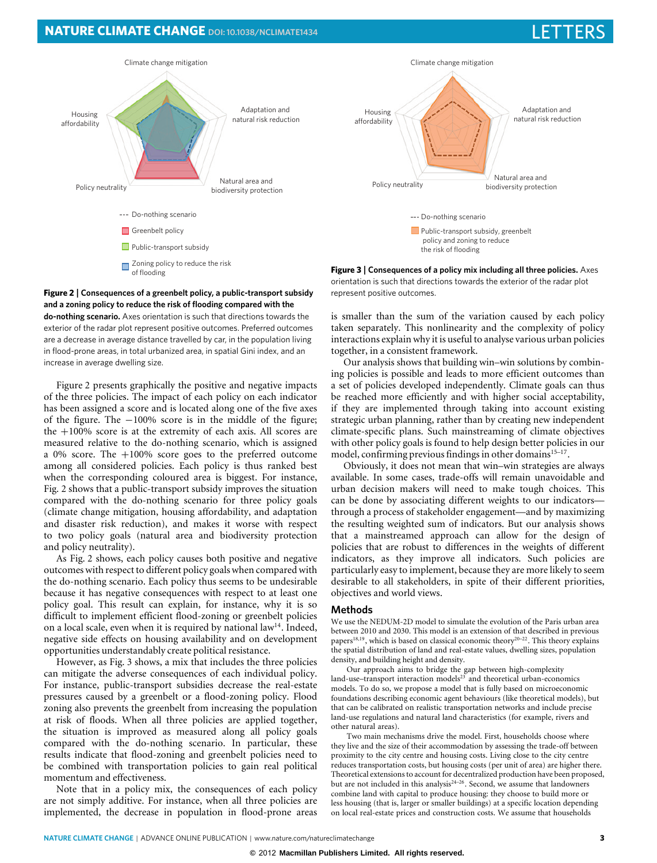## **NATURE CLIMATE CHANGE** DOI[: 10.1038/NCLIMATE1434](http://www.nature.com/doifinder/10.1038/nclimate1434)



<span id="page-2-0"></span>**Figure 2** | **Consequences of a greenbelt policy, a public-transport subsidy and a zoning policy to reduce the risk of flooding compared with the do-nothing scenario.** Axes orientation is such that directions towards the exterior of the radar plot represent positive outcomes. Preferred outcomes are a decrease in average distance travelled by car, in the population living in flood-prone areas, in total urbanized area, in spatial Gini index, and an increase in average dwelling size.

[Figure 2](#page-2-0) presents graphically the positive and negative impacts of the three policies. The impact of each policy on each indicator has been assigned a score and is located along one of the five axes of the figure. The −100% score is in the middle of the figure; the  $+100\%$  score is at the extremity of each axis. All scores are measured relative to the do-nothing scenario, which is assigned a 0% score. The +100% score goes to the preferred outcome among all considered policies. Each policy is thus ranked best when the corresponding coloured area is biggest. For instance, [Fig. 2](#page-2-0) shows that a public-transport subsidy improves the situation compared with the do-nothing scenario for three policy goals (climate change mitigation, housing affordability, and adaptation and disaster risk reduction), and makes it worse with respect to two policy goals (natural area and biodiversity protection and policy neutrality).

As [Fig. 2](#page-2-0) shows, each policy causes both positive and negative outcomes with respect to different policy goals when compared with the do-nothing scenario. Each policy thus seems to be undesirable because it has negative consequences with respect to at least one policy goal. This result can explain, for instance, why it is so difficult to implement efficient flood-zoning or greenbelt policies on a local scale, even when it is required by national law<sup>[14](#page-3-9)</sup>. Indeed, negative side effects on housing availability and on development opportunities understandably create political resistance.

However, as [Fig. 3](#page-2-1) shows, a mix that includes the three policies can mitigate the adverse consequences of each individual policy. For instance, public-transport subsidies decrease the real-estate pressures caused by a greenbelt or a flood-zoning policy. Flood zoning also prevents the greenbelt from increasing the population at risk of floods. When all three policies are applied together, the situation is improved as measured along all policy goals compared with the do-nothing scenario. In particular, these results indicate that flood-zoning and greenbelt policies need to be combined with transportation policies to gain real political momentum and effectiveness.

Note that in a policy mix, the consequences of each policy are not simply additive. For instance, when all three policies are implemented, the decrease in population in flood-prone areas



<span id="page-2-1"></span>**Figure 3** | **Consequences of a policy mix including all three policies.** Axes orientation is such that directions towards the exterior of the radar plot represent positive outcomes.

is smaller than the sum of the variation caused by each policy taken separately. This nonlinearity and the complexity of policy interactions explain why it is useful to analyse various urban policies together, in a consistent framework.

Our analysis shows that building win–win solutions by combining policies is possible and leads to more efficient outcomes than a set of policies developed independently. Climate goals can thus be reached more efficiently and with higher social acceptability, if they are implemented through taking into account existing strategic urban planning, rather than by creating new independent climate-specific plans. Such mainstreaming of climate objectives with other policy goals is found to help design better policies in our model, confirming previous findings in other domains<sup>[15](#page-3-10)-17</sup>.

Obviously, it does not mean that win–win strategies are always available. In some cases, trade-offs will remain unavoidable and urban decision makers will need to make tough choices. This can be done by associating different weights to our indicators through a process of stakeholder engagement—and by maximizing the resulting weighted sum of indicators. But our analysis shows that a mainstreamed approach can allow for the design of policies that are robust to differences in the weights of different indicators, as they improve all indicators. Such policies are particularly easy to implement, because they are more likely to seem desirable to all stakeholders, in spite of their different priorities, objectives and world views.

#### **Methods**

We use the NEDUM-2D model to simulate the evolution of the Paris urban area between 2010 and 2030. This model is an extension of that described in previous papers<sup>[18,](#page-3-12)[19](#page-3-13)</sup>, which is based on classical economic theory<sup>[20](#page-3-14)[–22](#page-3-15)</sup>. This theory explains the spatial distribution of land and real-estate values, dwelling sizes, population density, and building height and density.

Our approach aims to bridge the gap between high-complexity land-use–transport interaction models<sup>[23](#page-3-16)</sup> and theoretical urban-economics models. To do so, we propose a model that is fully based on microeconomic foundations describing economic agent behaviours (like theoretical models), but that can be calibrated on realistic transportation networks and include precise land-use regulations and natural land characteristics (for example, rivers and other natural areas).

Two main mechanisms drive the model. First, households choose where they live and the size of their accommodation by assessing the trade-off between proximity to the city centre and housing costs. Living close to the city centre reduces transportation costs, but housing costs (per unit of area) are higher there. Theoretical extensions to account for decentralized production have been proposed, but are not included in this analysis<sup>24-[26](#page-3-18)</sup>. Second, we assume that landowners combine land with capital to produce housing: they choose to build more or less housing (that is, larger or smaller buildings) at a specific location depending on local real-estate prices and construction costs. We assume that households